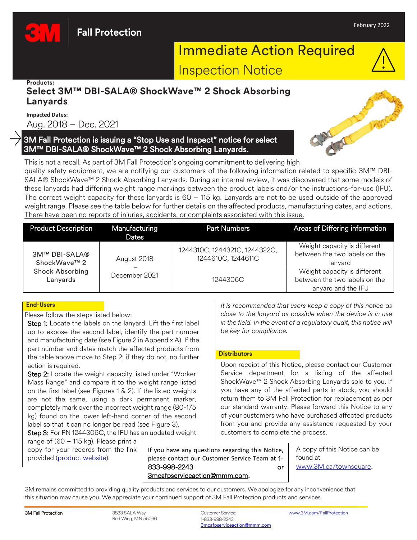

#### **Products:**

# **Select 3M™ DBI-SALA® ShockWave™ 2 Shock Absorbing Lanyards**

**Impacted Dates:**

Aug. 2018 – Dec. 2021

## 3M Fall Protection is issuing a "Stop Use and Inspect" notice for select 3M™ DBI-SALA® ShockWave™ 2 Shock Absorbing Lanyards.



This is not a recall. As part of 3M Fall Protection's ongoing commitment to delivering high quality safety equipment, we are notifying our customers of the following information related to specific 3M™ DBI-SALA® ShockWave™ 2 Shock Absorbing Lanyards. During an internal review, it was discovered that some models of these lanyards had differing weight range markings between the product labels and/or the instructions-for-use (IFU). The correct weight capacity for these lanyards is 60 – 115 kg. Lanyards are not to be used outside of the approved weight range. Please see the table below for further details on the affected products, manufacturing dates, and actions. There have been no reports of injuries, accidents, or complaints associated with this issue.

| <b>Product Description</b>         | Manufacturing<br>Dates | <b>Part Numbers</b>                                 | <b>Areas of Differing information</b>                                                |
|------------------------------------|------------------------|-----------------------------------------------------|--------------------------------------------------------------------------------------|
| 3M™ DBI-SALA®<br>ShockWave™ 2      | August 2018            | 1244310C, 1244321C, 1244322C,<br>1244610C, 1244611C | Weight capacity is different<br>between the two labels on the<br>lanyard             |
| <b>Shock Absorbing</b><br>Lanyards | December 2021          | 1244306C                                            | Weight capacity is different<br>between the two labels on the<br>lanyard and the IFU |

### **End-Users**

Please follow the steps listed below:

Step 1: Locate the labels on the lanyard. Lift the first label up to expose the second label, identify the part number and manufacturing date (see Figure 2 in Appendix A). If the part number and dates match the affected products from the table above move to Step 2; if they do not, no further action is required.

Step 2: Locate the weight capacity listed under "Worker Mass Range" and compare it to the weight range listed on the first label (see Figures 1 & 2). If the listed weights are not the same, using a dark permanent marker, completely mark over the incorrect weight range (80-175 kg) found on the lower left-hand corner of the second label so that it can no longer be read (see Figure 3).

Step 3: For PN 1244306C, the IFU has an updated weight

range of (60 – 115 kg). Please print a copy for your records from the link provided [\(product website\)](https://www.3mcanada.ca/3M/en_CA/p/d/v000358531/).

If you have any questions regarding this Notice, please contact our Customer Service Team **at** 1- 833-998-2243 or [3mcafpserviceaction@mmm.com](mailto:3mcafpserviceaction@mmm.com)**.** 

*It is recommended that users keep a copy of this notice as close to the lanyard as possible when the device is in use in the field. In the event of a regulatory audit, this notice will be key for compliance.*

### **Distributors**

Upon receipt of this Notice, please contact our Customer Service department for a listing of the affected ShockWave™ 2 Shock Absorbing Lanyards sold to you. If you have any of the affected parts in stock, you should return them to 3M Fall Protection for replacement as per our standard warranty. Please forward this Notice to any of your customers who have purchased affected products from you and provide any assistance requested by your customers to complete the process.

> A copy of this Notice can be found at [www.3M.ca/townsquare](https://www.3mcanada.ca/3m/en_ca/worker-health-safety-ca/safety-town-square).

3M remains committed to providing quality products and services to our customers. We apologize for any inconvenience that this situation may cause you. We appreciate your continued support of 3M Fall Protection products and services.